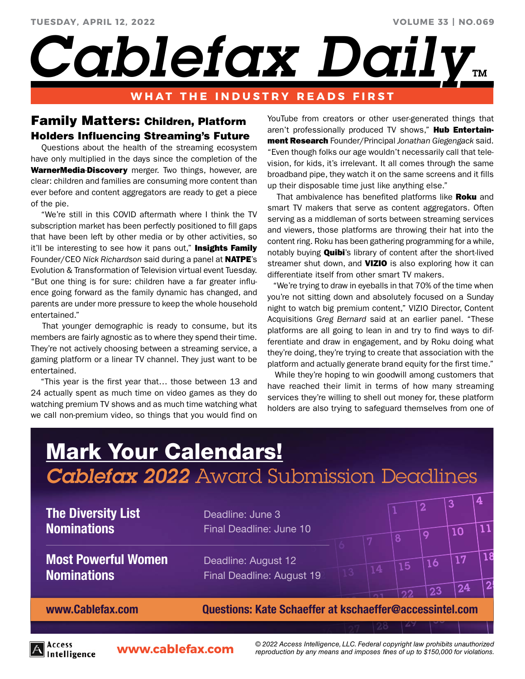*Cablefax Dail<sup>®</sup>* 

## **WHAT THE INDUSTRY READS FIRST**

# Family Matters: Children, Platform Holders Influencing Streaming's Future

 Questions about the health of the streaming ecosystem have only multiplied in the days since the completion of the WarnerMedia-Discovery merger. Two things, however, are clear: children and families are consuming more content than ever before and content aggregators are ready to get a piece of the pie.

 "We're still in this COVID aftermath where I think the TV subscription market has been perfectly positioned to fill gaps that have been left by other media or by other activities, so it'll be interesting to see how it pans out," Insights Family Founder/CEO *Nick Richardson* said during a panel at NATPE's Evolution & Transformation of Television virtual event Tuesday. "But one thing is for sure: children have a far greater influence going forward as the family dynamic has changed, and parents are under more pressure to keep the whole household entertained."

 That younger demographic is ready to consume, but its members are fairly agnostic as to where they spend their time. They're not actively choosing between a streaming service, a gaming platform or a linear TV channel. They just want to be entertained.

 "This year is the first year that… those between 13 and 24 actually spent as much time on video games as they do watching premium TV shows and as much time watching what we call non-premium video, so things that you would find on

YouTube from creators or other user-generated things that aren't professionally produced TV shows," Hub Entertainment Research Founder/Principal *Jonathan Giegengack* said. "Even though folks our age wouldn't necessarily call that television, for kids, it's irrelevant. It all comes through the same broadband pipe, they watch it on the same screens and it fills up their disposable time just like anything else."

That ambivalence has benefited platforms like Roku and smart TV makers that serve as content aggregators. Often serving as a middleman of sorts between streaming services and viewers, those platforms are throwing their hat into the content ring. Roku has been gathering programming for a while, notably buying **Quibi**'s library of content after the short-lived streamer shut down, and **VIZIO** is also exploring how it can differentiate itself from other smart TV makers.

 "We're trying to draw in eyeballs in that 70% of the time when you're not sitting down and absolutely focused on a Sunday night to watch big premium content," VIZIO Director, Content Acquisitions *Greg Bernard* said at an earlier panel. "These platforms are all going to lean in and try to find ways to differentiate and draw in engagement, and by Roku doing what they're doing, they're trying to create that association with the platform and actually generate brand equity for the first time."

 While they're hoping to win goodwill among customers that have reached their limit in terms of how many streaming services they're willing to shell out money for, these platform holders are also trying to safeguard themselves from one of

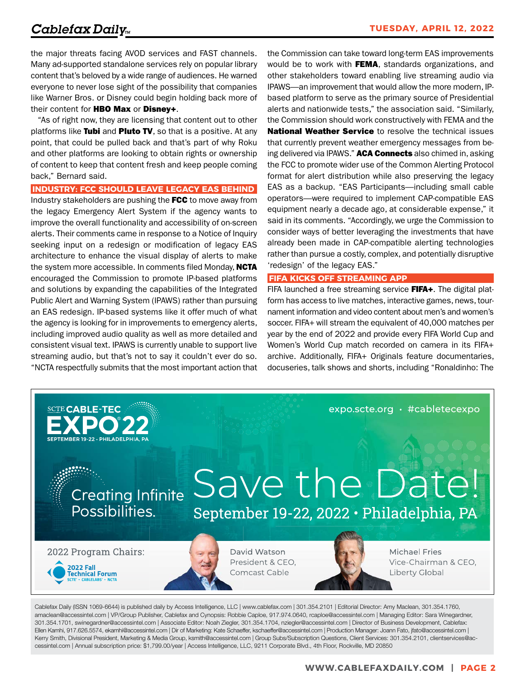the major threats facing AVOD services and FAST channels. Many ad-supported standalone services rely on popular library content that's beloved by a wide range of audiences. He warned everyone to never lose sight of the possibility that companies like Warner Bros. or Disney could begin holding back more of their content for HBO Max or Disney+.

 "As of right now, they are licensing that content out to other platforms like Tubi and Pluto TV, so that is a positive. At any point, that could be pulled back and that's part of why Roku and other platforms are looking to obtain rights or ownership of content to keep that content fresh and keep people coming back," Bernard said.

### **INDUSTRY: FCC SHOULD LEAVE LEGACY EAS BEHIND**

Industry stakeholders are pushing the FCC to move away from the legacy Emergency Alert System if the agency wants to improve the overall functionality and accessibility of on-screen alerts. Their comments came in response to a Notice of Inquiry seeking input on a redesign or modification of legacy EAS architecture to enhance the visual display of alerts to make the system more accessible. In comments filed Monday, **NCTA** encouraged the Commission to promote IP-based platforms and solutions by expanding the capabilities of the Integrated Public Alert and Warning System (IPAWS) rather than pursuing an EAS redesign. IP-based systems like it offer much of what the agency is looking for in improvements to emergency alerts, including improved audio quality as well as more detailed and consistent visual text. IPAWS is currently unable to support live streaming audio, but that's not to say it couldn't ever do so. "NCTA respectfully submits that the most important action that the Commission can take toward long-term EAS improvements would be to work with FEMA, standards organizations, and other stakeholders toward enabling live streaming audio via IPAWS—an improvement that would allow the more modern, IPbased platform to serve as the primary source of Presidential alerts and nationwide tests," the association said. "Similarly, the Commission should work constructively with FEMA and the **National Weather Service** to resolve the technical issues that currently prevent weather emergency messages from being delivered via IPAWS." **ACA Connects** also chimed in, asking the FCC to promote wider use of the Common Alerting Protocol format for alert distribution while also preserving the legacy EAS as a backup. "EAS Participants—including small cable operators—were required to implement CAP-compatible EAS equipment nearly a decade ago, at considerable expense," it said in its comments. "Accordingly, we urge the Commission to consider ways of better leveraging the investments that have already been made in CAP-compatible alerting technologies rather than pursue a costly, complex, and potentially disruptive 'redesign' of the legacy EAS."

#### **FIFA KICKS OFF STREAMING APP**

FIFA launched a free streaming service FIFA+. The digital platform has access to live matches, interactive games, news, tournament information and video content about men's and women's soccer. FIFA+ will stream the equivalent of 40,000 matches per year by the end of 2022 and provide every FIFA World Cup and Women's World Cup match recorded on camera in its FIFA+ archive. Additionally, FIFA+ Originals feature documentaries, docuseries, talk shows and shorts, including "Ronaldinho: The



Cablefax Daily (ISSN 1069-6644) is published daily by Access Intelligence, LLC | www.cablefax.com | 301.354.2101 | Editorial Director: Amy Maclean, 301.354.1760, amaclean@accessintel.com | VP/Group Publisher, Cablefax and Cynopsis: Robbie Caploe, 917.974.0640, rcaploe@accessintel.com | Managing Editor: Sara Winegardner, 301.354.1701, swinegardner@accessintel.com | Associate Editor: Noah Ziegler, 301.354.1704, nziegler@accessintel.com | Director of Business Development, Cablefax: Ellen Kamhi, 917.626.5574, ekamhi@accessintel.com | Dir of Marketing: Kate Schaeffer, kschaeffer@accessintel.com | Production Manager: Joann Fato, jfato@accessintel.com | Kerry Smith, Divisional President, Marketing & Media Group, ksmith@accessintel.com | Group Subs/Subscription Questions, Client Services: 301.354.2101, clientservices@accessintel.com | Annual subscription price: \$1,799.00/year | Access Intelligence, LLC, 9211 Corporate Blvd., 4th Floor, Rockville, MD 20850